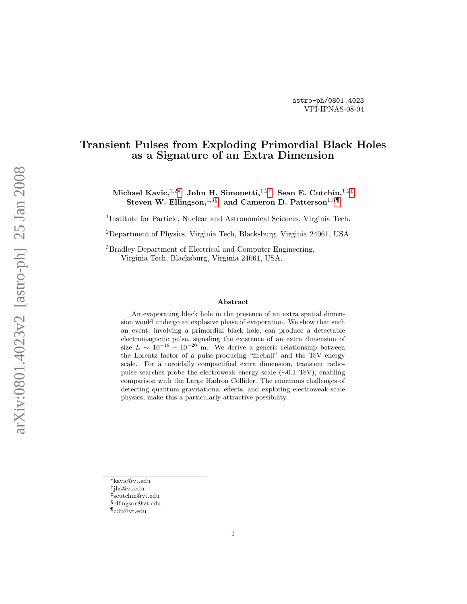# Transient Pulses from Exploding Primordial Black Holes as a Signature of an Extra Dimension

Michael Kavic, $^{1,2*}$  John H. Simonetti, $^{1,2\dagger}$  Sean E. Cutchin, $^{1,2\dagger}$ Steven W. Ellingson, $^{1,3\S}$  and Cameron D. Patterson $^{1,3\P}$ 

<sup>1</sup>Institute for Particle, Nuclear and Astronomical Sciences, Virginia Tech.

<sup>2</sup>Department of Physics, Virginia Tech, Blacksburg, Virginia 24061, USA.

<sup>3</sup>Bradley Department of Electrical and Computer Engineering, Virginia Tech, Blacksburg, Virginia 24061, USA.

#### Abstract

An evaporating black hole in the presence of an extra spatial dimension would undergo an explosive phase of evaporation. We show that such an event, involving a primordial black hole, can produce a detectable electromagnetic pulse, signaling the existence of an extra dimension of size  $L \sim 10^{-18} - 10^{-20}$  m. We derive a generic relationship between the Lorentz factor of a pulse-producing "fireball" and the TeV energy scale. For a toroidally compactified extra dimension, transient radiopulse searches probe the electroweak energy scale (∼0.1 TeV), enabling comparison with the Large Hadron Collider. The enormous challenges of detecting quantum gravitational effects, and exploring electroweak-scale physics, make this a particularly attractive possibility.

<span id="page-0-0"></span><sup>∗</sup>kavic@vt.edu

<span id="page-0-1"></span><sup>†</sup> jhs@vt.edu

<span id="page-0-2"></span><sup>‡</sup> scutchin@vt.edu

<span id="page-0-3"></span><sup>§</sup>ellingson@vt.edu

<span id="page-0-4"></span><sup>¶</sup>cdp@vt.edu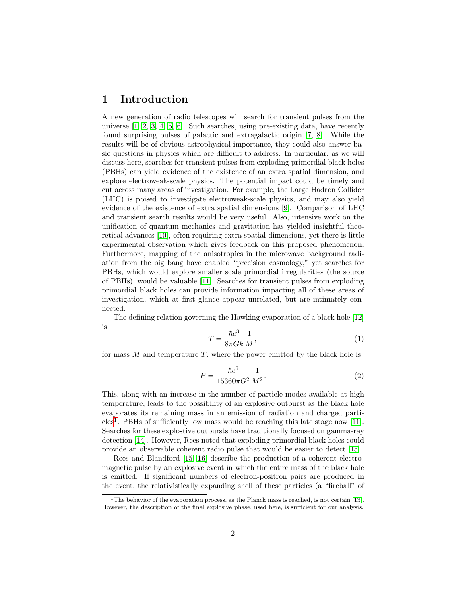## 1 Introduction

A new generation of radio telescopes will search for transient pulses from the universe [\[1,](#page-8-0) [2,](#page-8-1) [3,](#page-8-2) [4,](#page-8-3) [5,](#page-8-4) [6\]](#page-9-0). Such searches, using pre-existing data, have recently found surprising pulses of galactic and extragalactic origin [\[7,](#page-9-1) [8\]](#page-9-2). While the results will be of obvious astrophysical importance, they could also answer basic questions in physics which are difficult to address. In particular, as we will discuss here, searches for transient pulses from exploding primordial black holes (PBHs) can yield evidence of the existence of an extra spatial dimension, and explore electroweak-scale physics. The potential impact could be timely and cut across many areas of investigation. For example, the Large Hadron Collider (LHC) is poised to investigate electroweak-scale physics, and may also yield evidence of the existence of extra spatial dimensions [\[9\]](#page-9-3). Comparison of LHC and transient search results would be very useful. Also, intensive work on the unification of quantum mechanics and gravitation has yielded insightful theoretical advances [\[10\]](#page-9-4), often requiring extra spatial dimensions, yet there is little experimental observation which gives feedback on this proposed phenomenon. Furthermore, mapping of the anisotropies in the microwave background radiation from the big bang have enabled "precision cosmology," yet searches for PBHs, which would explore smaller scale primordial irregularities (the source of PBHs), would be valuable [\[11\]](#page-9-5). Searches for transient pulses from exploding primordial black holes can provide information impacting all of these areas of investigation, which at first glance appear unrelated, but are intimately connected.

The defining relation governing the Hawking evaporation of a black hole [\[12\]](#page-9-6) is

<span id="page-1-1"></span>
$$
T = \frac{\hbar c^3}{8\pi G k} \frac{1}{M},\tag{1}
$$

for mass  $M$  and temperature  $T$ , where the power emitted by the black hole is

$$
P = \frac{\hbar c^6}{15360\pi G^2} \frac{1}{M^2}.
$$
\n(2)

This, along with an increase in the number of particle modes available at high temperature, leads to the possibility of an explosive outburst as the black hole evaporates its remaining mass in an emission of radiation and charged particles[1](#page-1-0) . PBHs of sufficiently low mass would be reaching this late stage now [\[11\]](#page-9-5). Searches for these explostive outbursts have traditionally focused on gamma-ray detection [\[14\]](#page-9-7). However, Rees noted that exploding primordial black holes could provide an observable coherent radio pulse that would be easier to detect [\[15\]](#page-9-8).

Rees and Blandford [\[15,](#page-9-8) [16\]](#page-9-9) describe the production of a coherent electromagnetic pulse by an explosive event in which the entire mass of the black hole is emitted. If significant numbers of electron-positron pairs are produced in the event, the relativistically expanding shell of these particles (a "fireball" of

<span id="page-1-0"></span><sup>&</sup>lt;sup>1</sup>The behavior of the evaporation process, as the Planck mass is reached, is not certain [\[13\]](#page-9-10). However, the description of the final explosive phase, used here, is sufficient for our analysis.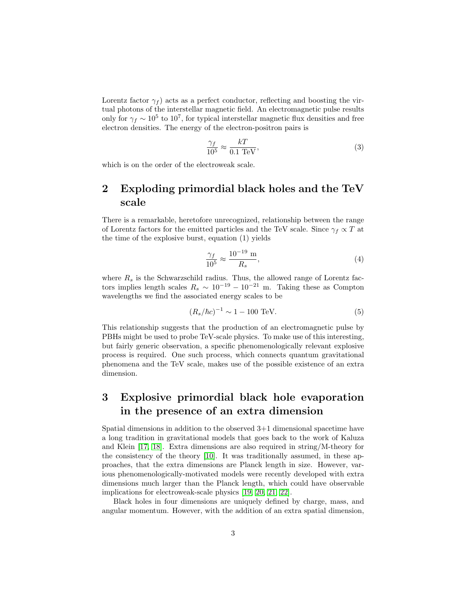Lorentz factor  $\gamma_f$ ) acts as a perfect conductor, reflecting and boosting the virtual photons of the interstellar magnetic field. An electromagnetic pulse results only for  $\gamma_f \sim 10^5$  to  $10^7$ , for typical interstellar magnetic flux densities and free electron densities. The energy of the electron-positron pairs is

<span id="page-2-0"></span>
$$
\frac{\gamma_f}{10^5} \approx \frac{kT}{0.1 \text{ TeV}},\tag{3}
$$

which is on the order of the electroweak scale.

# 2 Exploding primordial black holes and the TeV scale

There is a remarkable, heretofore unrecognized, relationship between the range of Lorentz factors for the emitted particles and the TeV scale. Since  $\gamma_f \propto T$  at the time of the explosive burst, equation (1) yields

<span id="page-2-1"></span>
$$
\frac{\gamma_f}{10^5} \approx \frac{10^{-19} \text{ m}}{R_s},\tag{4}
$$

where  $R_s$  is the Schwarzschild radius. Thus, the allowed range of Lorentz factors implies length scales  $R_s \sim 10^{-19} - 10^{-21}$  m. Taking these as Compton wavelengths we find the associated energy scales to be

$$
(R_s/\hbar c)^{-1} \sim 1 - 100 \text{ TeV}.
$$
 (5)

This relationship suggests that the production of an electromagnetic pulse by PBHs might be used to probe TeV-scale physics. To make use of this interesting, but fairly generic observation, a specific phenomenologically relevant explosive process is required. One such process, which connects quantum gravitational phenomena and the TeV scale, makes use of the possible existence of an extra dimension.

# 3 Explosive primordial black hole evaporation in the presence of an extra dimension

Spatial dimensions in addition to the observed 3+1 dimensional spacetime have a long tradition in gravitational models that goes back to the work of Kaluza and Klein [\[17,](#page-9-11) [18\]](#page-9-12). Extra dimensions are also required in string/M-theory for the consistency of the theory [\[10\]](#page-9-4). It was traditionally assumed, in these approaches, that the extra dimensions are Planck length in size. However, various phenomenologically-motivated models were recently developed with extra dimensions much larger than the Planck length, which could have observable implications for electroweak-scale physics [\[19,](#page-9-13) [20,](#page-9-14) [21,](#page-10-0) [22\]](#page-10-1).

Black holes in four dimensions are uniquely defined by charge, mass, and angular momentum. However, with the addition of an extra spatial dimension,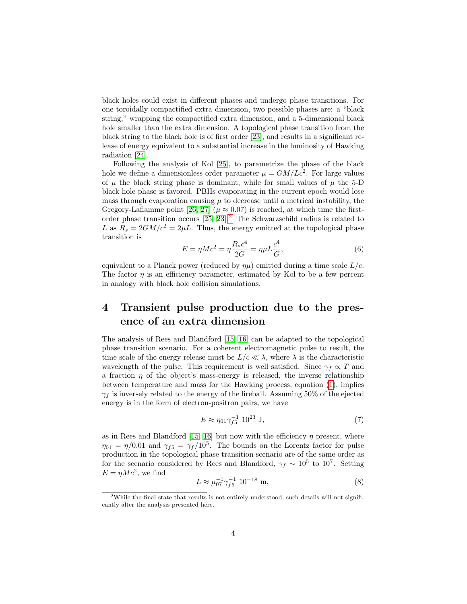black holes could exist in different phases and undergo phase transitions. For one toroidally compactified extra dimension, two possible phases are: a "black string," wrapping the compactified extra dimension, and a 5-dimensional black hole smaller than the extra dimension. A topological phase transition from the black string to the black hole is of first order [\[23\]](#page-10-2), and results in a significant release of energy equivalent to a substantial increase in the luminosity of Hawking radiation [\[24\]](#page-10-3).

Following the analysis of Kol [\[25\]](#page-10-4), to parametrize the phase of the black hole we define a dimensionless order parameter  $\mu = GM/Lc^2$ . For large values of  $\mu$  the black string phase is dominant, while for small values of  $\mu$  the 5-D black hole phase is favored. PBHs evaporating in the current epoch would lose mass through evaporation causing  $\mu$  to decrease until a metrical instability, the Gregory-Laflamme point [\[26,](#page-10-5) [27\]](#page-10-6) ( $\mu \approx 0.07$ ) is reached, at which time the firstorder phase transition occurs  $[25, 23]$  $[25, 23]$ .<sup>[2](#page-3-0)</sup> The Schwarzschild radius is related to L as  $R_s = 2GM/c^2 = 2\mu L$ . Thus, the energy emitted at the topological phase transition is

$$
E = \eta M c^2 = \eta \frac{R_s c^4}{2G} = \eta \mu L \frac{c^4}{G},
$$
\n(6)

equivalent to a Planck power (reduced by  $\eta\mu$ ) emitted during a time scale  $L/c$ . The factor  $\eta$  is an efficiency parameter, estimated by Kol to be a few percent in analogy with black hole collision simulations.

# 4 Transient pulse production due to the presence of an extra dimension

The analysis of Rees and Blandford [\[15,](#page-9-8) [16\]](#page-9-9) can be adapted to the topological phase transition scenario. For a coherent electromagnetic pulse to result, the time scale of the energy release must be  $L/c \ll \lambda$ , where  $\lambda$  is the characteristic wavelength of the pulse. This requirement is well satisfied. Since  $\gamma_f \propto T$  and a fraction  $\eta$  of the object's mass-energy is released, the inverse relationship between temperature and mass for the Hawking process, equation [\(1\)](#page-1-1), implies  $\gamma_f$  is inversely related to the energy of the fireball. Assuming 50% of the ejected energy is in the form of electron-positron pairs, we have

$$
E \approx \eta_{01} \gamma_{f5}^{-1} 10^{23} \text{ J},\tag{7}
$$

as in Rees and Blandford [\[15,](#page-9-8) [16\]](#page-9-9) but now with the efficiency  $\eta$  present, where  $\eta_{01} = \eta/0.01$  and  $\gamma_{f5} = \gamma_f/10^5$ . The bounds on the Lorentz factor for pulse production in the topological phase transition scenario are of the same order as for the scenario considered by Rees and Blandford,  $\gamma_f \sim 10^5$  to  $10^7$ . Setting  $E = \eta M c^2$ , we find

$$
L \approx \mu_{07}^{-1} \gamma_{f5}^{-1} 10^{-18} \text{ m},\tag{8}
$$

<span id="page-3-0"></span><sup>&</sup>lt;sup>2</sup>While the final state that results is not entirely understood, such details will not significantly alter the analysis presented here.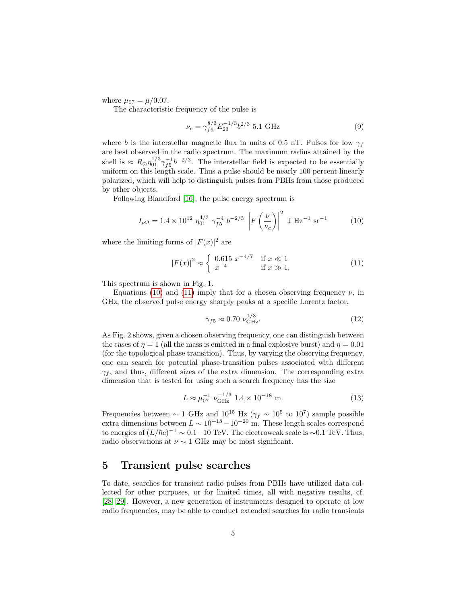where  $\mu_{07} = \mu/0.07$ .

The characteristic frequency of the pulse is

$$
\nu_c = \gamma_{f5}^{8/3} E_{23}^{-1/3} b^{2/3} 5.1 \text{ GHz}
$$
 (9)

where b is the interstellar magnetic flux in units of 0.5 nT. Pulses for low  $\gamma_f$ are best observed in the radio spectrum. The maximum radius attained by the shell is  $\approx R_{\odot} \eta_{01}^{1/3} \gamma_{f5}^{-1} b^{-2/3}$ . The interstellar field is expected to be essentially uniform on this length scale. Thus a pulse should be nearly 100 percent linearly polarized, which will help to distinguish pulses from PBHs from those produced by other objects.

Following Blandford [\[16\]](#page-9-9), the pulse energy spectrum is

<span id="page-4-0"></span>
$$
I_{\nu\Omega} = 1.4 \times 10^{12} \eta_{01}^{4/3} \gamma_{f5}^{-4} b^{-2/3} \left| F\left(\frac{\nu}{\nu_c}\right) \right|^2 \text{ J Hz}^{-1} \text{ sr}^{-1}
$$
 (10)

where the limiting forms of  $|F(x)|^2$  are

<span id="page-4-1"></span>
$$
|F(x)|^2 \approx \begin{cases} 0.615 \ x^{-4/7} & \text{if } x \ll 1\\ x^{-4} & \text{if } x \gg 1. \end{cases}
$$
 (11)

This spectrum is shown in Fig. 1.

Equations [\(10\)](#page-4-0) and [\(11\)](#page-4-1) imply that for a chosen observing frequency  $\nu$ , in GHz, the observed pulse energy sharply peaks at a specific Lorentz factor,

$$
\gamma_{f5} \approx 0.70 \ \nu_{\rm GHz}^{1/3}.\tag{12}
$$

As Fig. 2 shows, given a chosen observing frequency, one can distinguish between the cases of  $\eta = 1$  (all the mass is emitted in a final explosive burst) and  $\eta = 0.01$ (for the topological phase transition). Thus, by varying the observing frequency, one can search for potential phase-transition pulses associated with different  $\gamma_f$ , and thus, different sizes of the extra dimension. The corresponding extra dimension that is tested for using such a search frequency has the size

$$
L \approx \mu_{07}^{-1} \nu_{\text{GHz}}^{-1/3} 1.4 \times 10^{-18} \text{ m.}
$$
 (13)

Frequencies between  $\sim 1$  GHz and  $10^{15}$  Hz ( $\gamma_f \sim 10^5$  to  $10^7$ ) sample possible extra dimensions between  $L \sim 10^{-18} - 10^{-20}$  m. These length scales correspond to energies of  $(L/\hbar c)^{-1} \sim 0.1-10$  TeV. The electroweak scale is ~0.1 TeV. Thus, radio observations at  $\nu \sim 1$  GHz may be most significant.

### 5 Transient pulse searches

To date, searches for transient radio pulses from PBHs have utilized data collected for other purposes, or for limited times, all with negative results, cf. [\[28,](#page-10-7) [29\]](#page-10-8). However, a new generation of instruments designed to operate at low radio frequencies, may be able to conduct extended searches for radio transients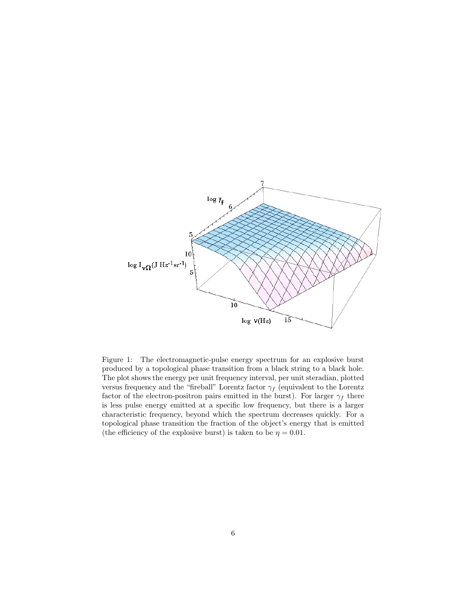

Figure 1: The electromagnetic-pulse energy spectrum for an explosive burst produced by a topological phase transition from a black string to a black hole. The plot shows the energy per unit frequency interval, per unit steradian, plotted versus frequency and the "fireball" Lorentz factor  $\gamma_f$  (equivalent to the Lorentz factor of the electron-positron pairs emitted in the burst). For larger  $\gamma_f$  there is less pulse energy emitted at a specific low frequency, but there is a larger characteristic frequency, beyond which the spectrum decreases quickly. For a topological phase transition the fraction of the object's energy that is emitted (the efficiency of the explosive burst) is taken to be  $\eta = 0.01$ .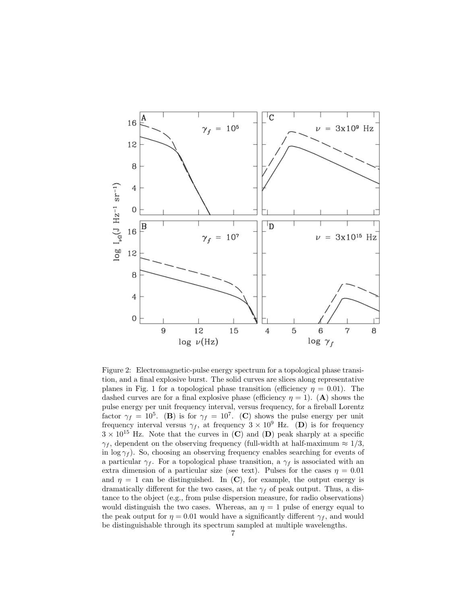

Figure 2: Electromagnetic-pulse energy spectrum for a topological phase transition, and a final explosive burst. The solid curves are slices along representative planes in Fig. 1 for a topological phase transition (efficiency  $\eta = 0.01$ ). The dashed curves are for a final explosive phase (efficiency  $\eta = 1$ ). (A) shows the pulse energy per unit frequency interval, versus frequency, for a fireball Lorentz factor  $\gamma_f = 10^5$ . (B) is for  $\gamma_f = 10^7$ . (C) shows the pulse energy per unit frequency interval versus  $\gamma_f$ , at frequency  $3 \times 10^9$  Hz. (D) is for frequency  $3 \times 10^{15}$  Hz. Note that the curves in (C) and (D) peak sharply at a specific  $\gamma_f$ , dependent on the observing frequency (full-width at half-maximum  $\approx 1/3$ , in  $\log \gamma_f$ ). So, choosing an observing frequency enables searching for events of a particular  $\gamma_f$ . For a topological phase transition, a  $\gamma_f$  is associated with an extra dimension of a particular size (see text). Pulses for the cases  $\eta = 0.01$ and  $\eta = 1$  can be distinguished. In (C), for example, the output energy is dramatically different for the two cases, at the  $\gamma_f$  of peak output. Thus, a distance to the object (e.g., from pulse dispersion measure, for radio observations) would distinguish the two cases. Whereas, an  $\eta = 1$  pulse of energy equal to the peak output for  $\eta = 0.01$  would have a significantly different  $\gamma_f$ , and would be distinguishable through its spectrum sampled at multiple wavelengths.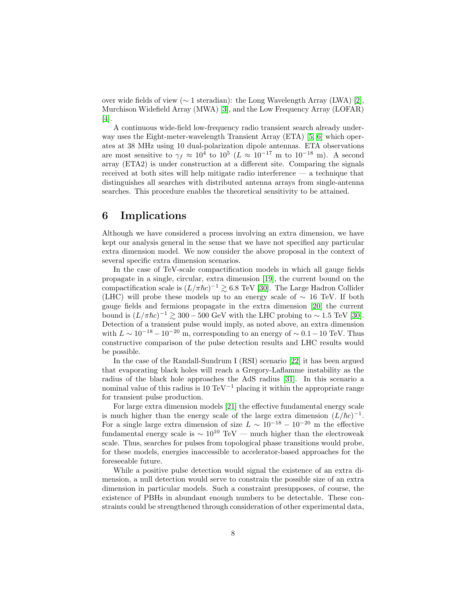over wide fields of view (∼ 1 steradian): the Long Wavelength Array (LWA) [\[2\]](#page-8-1), Murchison Widefield Array (MWA) [\[3\]](#page-8-2), and the Low Frequency Array (LOFAR) [\[4\]](#page-8-3).

A continuous wide-field low-frequency radio transient search already underway uses the Eight-meter-wavelength Transient Array (ETA) [\[5,](#page-8-4) [6\]](#page-9-0) which operates at 38 MHz using 10 dual-polarization dipole antennas. ETA observations are most sensitive to  $\gamma_f \approx 10^4$  to  $10^5$  ( $L \approx 10^{-17}$  m to  $10^{-18}$  m). A second array (ETA2) is under construction at a different site. Comparing the signals received at both sites will help mitigate radio interference — a technique that distinguishes all searches with distributed antenna arrays from single-antenna searches. This procedure enables the theoretical sensitivity to be attained.

# 6 Implications

Although we have considered a process involving an extra dimension, we have kept our analysis general in the sense that we have not specified any particular extra dimension model. We now consider the above proposal in the context of several specific extra dimension scenarios.

In the case of TeV-scale compactification models in which all gauge fields propagate in a single, circular, extra dimension [\[19\]](#page-9-13), the current bound on the compactification scale is  $(L/\pi \hbar c)^{-1} \gtrsim 6.8$  TeV [\[30\]](#page-10-9). The Large Hadron Collider (LHC) will probe these models up to an energy scale of ∼ 16 TeV. If both gauge fields and fermions propagate in the extra dimension [\[20\]](#page-9-14) the current bound is  $(L/\pi\hbar c)^{-1} \gtrsim 300 - 500$  GeV with the LHC probing to ~1.5 TeV [\[30\]](#page-10-9). Detection of a transient pulse would imply, as noted above, an extra dimension with  $L \sim 10^{-18} - 10^{-20}$  m, corresponding to an energy of  $\sim 0.1 - 10$  TeV. Thus constructive comparison of the pulse detection results and LHC results would be possible.

In the case of the Randall-Sundrum I (RSI) scenario [\[22\]](#page-10-1) it has been argued that evaporating black holes will reach a Gregory-Laflamme instability as the radius of the black hole approaches the AdS radius [\[31\]](#page-10-10). In this scenario a nominal value of this radius is 10 TeV<sup>-1</sup> placing it within the appropriate range for transient pulse production.

For large extra dimension models [\[21\]](#page-10-0) the effective fundamental energy scale is much higher than the energy scale of the large extra dimension  $(L/\hbar c)^{-1}$ . For a single large extra dimension of size  $L \sim 10^{-18} - 10^{-20}$  m the effective fundamental energy scale is  $\sim 10^{10}$  TeV — much higher than the electroweak scale. Thus, searches for pulses from topological phase transitions would probe, for these models, energies inaccessible to accelerator-based approaches for the foreseeable future.

While a positive pulse detection would signal the existence of an extra dimension, a null detection would serve to constrain the possible size of an extra dimension in particular models. Such a constraint presupposes, of course, the existence of PBHs in abundant enough numbers to be detectable. These constraints could be strengthened through consideration of other experimental data,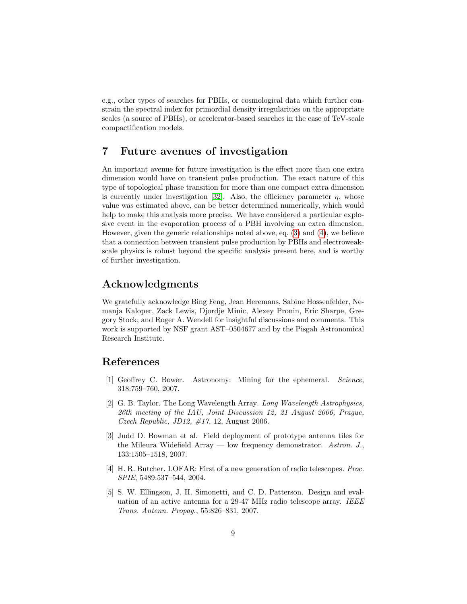e.g., other types of searches for PBHs, or cosmological data which further constrain the spectral index for primordial density irregularities on the appropriate scales (a source of PBHs), or accelerator-based searches in the case of TeV-scale compactification models.

## 7 Future avenues of investigation

An important avenue for future investigation is the effect more than one extra dimension would have on transient pulse production. The exact nature of this type of topological phase transition for more than one compact extra dimension is currently under investigation [\[32\]](#page-10-11). Also, the efficiency parameter  $\eta$ , whose value was estimated above, can be better determined numerically, which would help to make this analysis more precise. We have considered a particular explosive event in the evaporation process of a PBH involving an extra dimension. However, given the generic relationships noted above, eq. [\(3\)](#page-2-0) and [\(4\)](#page-2-1), we believe that a connection between transient pulse production by PBHs and electroweakscale physics is robust beyond the specific analysis present here, and is worthy of further investigation.

## Acknowledgments

We gratefully acknowledge Bing Feng, Jean Heremans, Sabine Hossenfelder, Nemanja Kaloper, Zack Lewis, Djordje Minic, Alexey Pronin, Eric Sharpe, Gregory Stock, and Roger A. Wendell for insightful discussions and comments. This work is supported by NSF grant AST–0504677 and by the Pisgah Astronomical Research Institute.

# References

- <span id="page-8-0"></span>[1] Geoffrey C. Bower. Astronomy: Mining for the ephemeral. Science, 318:759–760, 2007.
- <span id="page-8-1"></span>[2] G. B. Taylor. The Long Wavelength Array. Long Wavelength Astrophysics, 26th meeting of the IAU, Joint Discussion 12, 21 August 2006, Prague, Czech Republic, JD12,  $\#17$ , 12, August 2006.
- <span id="page-8-2"></span>[3] Judd D. Bowman et al. Field deployment of prototype antenna tiles for the Mileura Widefield Array — low frequency demonstrator. Astron. J., 133:1505–1518, 2007.
- <span id="page-8-3"></span>[4] H. R. Butcher. LOFAR: First of a new generation of radio telescopes. Proc. SPIE, 5489:537–544, 2004.
- <span id="page-8-4"></span>[5] S. W. Ellingson, J. H. Simonetti, and C. D. Patterson. Design and evaluation of an active antenna for a 29-47 MHz radio telescope array. IEEE Trans. Antenn. Propag., 55:826–831, 2007.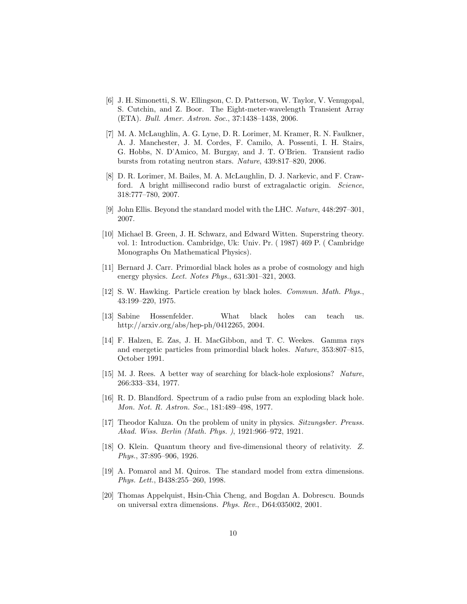- <span id="page-9-0"></span>[6] J. H. Simonetti, S. W. Ellingson, C. D. Patterson, W. Taylor, V. Venugopal, S. Cutchin, and Z. Boor. The Eight-meter-wavelength Transient Array (ETA). Bull. Amer. Astron. Soc., 37:1438–1438, 2006.
- <span id="page-9-1"></span>[7] M. A. McLaughlin, A. G. Lyne, D. R. Lorimer, M. Kramer, R. N. Faulkner, A. J. Manchester, J. M. Cordes, F. Camilo, A. Possenti, I. H. Stairs, G. Hobbs, N. D'Amico, M. Burgay, and J. T. O'Brien. Transient radio bursts from rotating neutron stars. Nature, 439:817–820, 2006.
- <span id="page-9-2"></span>[8] D. R. Lorimer, M. Bailes, M. A. McLaughlin, D. J. Narkevic, and F. Crawford. A bright millisecond radio burst of extragalactic origin. Science, 318:777–780, 2007.
- <span id="page-9-3"></span>[9] John Ellis. Beyond the standard model with the LHC. Nature, 448:297–301, 2007.
- <span id="page-9-4"></span>[10] Michael B. Green, J. H. Schwarz, and Edward Witten. Superstring theory. vol. 1: Introduction. Cambridge, Uk: Univ. Pr. ( 1987) 469 P. ( Cambridge Monographs On Mathematical Physics).
- <span id="page-9-5"></span>[11] Bernard J. Carr. Primordial black holes as a probe of cosmology and high energy physics. Lect. Notes Phys., 631:301–321, 2003.
- <span id="page-9-6"></span>[12] S. W. Hawking. Particle creation by black holes. Commun. Math. Phys., 43:199–220, 1975.
- <span id="page-9-10"></span>[13] Sabine Hossenfelder. What black holes can teach us. http://arxiv.org/abs/hep-ph/0412265, 2004.
- <span id="page-9-7"></span>[14] F. Halzen, E. Zas, J. H. MacGibbon, and T. C. Weekes. Gamma rays and energetic particles from primordial black holes. Nature, 353:807–815, October 1991.
- <span id="page-9-8"></span>[15] M. J. Rees. A better way of searching for black-hole explosions? Nature, 266:333–334, 1977.
- <span id="page-9-9"></span>[16] R. D. Blandford. Spectrum of a radio pulse from an exploding black hole. Mon. Not. R. Astron. Soc., 181:489–498, 1977.
- <span id="page-9-11"></span>[17] Theodor Kaluza. On the problem of unity in physics. Sitzungsber. Preuss. Akad. Wiss. Berlin (Math. Phys. ), 1921:966–972, 1921.
- <span id="page-9-12"></span>[18] O. Klein. Quantum theory and five-dimensional theory of relativity. Z. Phys., 37:895–906, 1926.
- <span id="page-9-13"></span>[19] A. Pomarol and M. Quiros. The standard model from extra dimensions. Phys. Lett., B438:255–260, 1998.
- <span id="page-9-14"></span>[20] Thomas Appelquist, Hsin-Chia Cheng, and Bogdan A. Dobrescu. Bounds on universal extra dimensions. Phys. Rev., D64:035002, 2001.